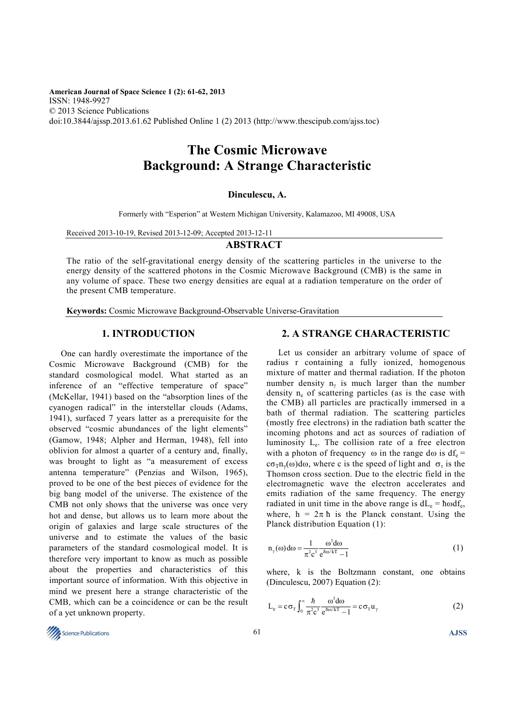**American Journal of Space Science 1 (2): 61-62, 2013**  ISSN: 1948-9927 © 2013 Science Publications doi:10.3844/ajssp.2013.61.62 Published Online 1 (2) 2013 (http://www.thescipub.com/ajss.toc)

# **The Cosmic Microwave Background: A Strange Characteristic**

#### **Dinculescu, A.**

Formerly with "Esperion" at Western Michigan University, Kalamazoo, MI 49008, USA

Received 2013-10-19, Revised 2013-12-09; Accepted 2013-12-11

#### **ABSTRACT**

The ratio of the self-gravitational energy density of the scattering particles in the universe to the energy density of the scattered photons in the Cosmic Microwave Background (CMB) is the same in any volume of space. These two energy densities are equal at a radiation temperature on the order of the present CMB temperature.

**Keywords:** Cosmic Microwave Background-Observable Universe-Gravitation

## **1. INTRODUCTION**

One can hardly overestimate the importance of the Cosmic Microwave Background (CMB) for the standard cosmological model. What started as an inference of an "effective temperature of space" (McKellar, 1941) based on the "absorption lines of the cyanogen radical" in the interstellar clouds (Adams, 1941), surfaced 7 years latter as a prerequisite for the observed "cosmic abundances of the light elements" (Gamow, 1948; Alpher and Herman, 1948), fell into oblivion for almost a quarter of a century and, finally, was brought to light as "a measurement of excess antenna temperature" (Penzias and Wilson, 1965), proved to be one of the best pieces of evidence for the big bang model of the universe. The existence of the CMB not only shows that the universe was once very hot and dense, but allows us to learn more about the origin of galaxies and large scale structures of the universe and to estimate the values of the basic parameters of the standard cosmological model. It is therefore very important to know as much as possible about the properties and characteristics of this important source of information. With this objective in mind we present here a strange characteristic of the CMB, which can be a coincidence or can be the result of a yet unknown property.

## **2. A STRANGE CHARACTERISTIC**

Let us consider an arbitrary volume of space of radius r containing a fully ionized, homogenous mixture of matter and thermal radiation. If the photon number density  $n_{\gamma}$  is much larger than the number density  $n_e$  of scattering particles (as is the case with the CMB) all particles are practically immersed in a bath of thermal radiation. The scattering particles (mostly free electrons) in the radiation bath scatter the incoming photons and act as sources of radiation of luminosity L<sup>e</sup> . The collision rate of a free electron with a photon of frequency  $\omega$  in the range d $\omega$  is df<sub>e</sub> = c $\sigma_T n_\gamma(\omega) d\omega$ , where c is the speed of light and  $\sigma_\tau$  is the Thomson cross section. Due to the electric field in the electromagnetic wave the electron accelerates and emits radiation of the same frequency. The energy radiated in unit time in the above range is  $dL_e = \hbar \omega df_e$ , where,  $h = 2\pi h$  is the Planck constant. Using the Planck distribution Equation (1):

$$
n_{\gamma}(\omega)d\omega = \frac{1}{\pi^{2}c^{3}} \frac{\omega^{3} d\omega}{e^{\hbar \omega/kT} - 1}
$$
 (1)

where, k is the Boltzmann constant, one obtains (Dinculescu, 2007) Equation (2):

$$
L_e = c \sigma_T \int_0^{\infty} \frac{\hbar}{\pi^2 c^3} \frac{\omega^3 d\omega}{e^{\hbar \omega/kT} - 1} = c \sigma_T u_\gamma
$$
 (2)